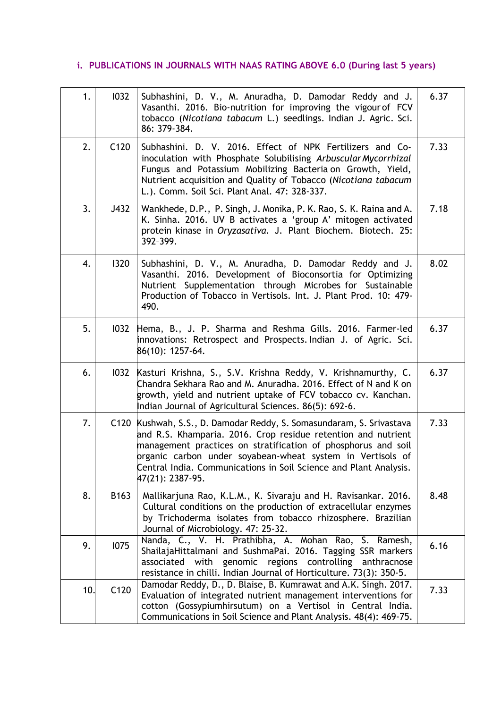## **i. PUBLICATIONS IN JOURNALS WITH NAAS RATING ABOVE 6.0 (During last 5 years)**

| 1.  | 1032 | Subhashini, D. V., M. Anuradha, D. Damodar Reddy and J.<br>Vasanthi. 2016. Bio-nutrition for improving the vigour of FCV<br>tobacco (Nicotiana tabacum L.) seedlings. Indian J. Agric. Sci.<br>86: 379-384.                                                                                                                                                   | 6.37 |
|-----|------|---------------------------------------------------------------------------------------------------------------------------------------------------------------------------------------------------------------------------------------------------------------------------------------------------------------------------------------------------------------|------|
| 2.  | C120 | Subhashini. D. V. 2016. Effect of NPK Fertilizers and Co-<br>inoculation with Phosphate Solubilising Arbuscular Mycorrhizal<br>Fungus and Potassium Mobilizing Bacteria on Growth, Yield,<br>Nutrient acquisition and Quality of Tobacco (Nicotiana tabacum<br>L.). Comm. Soil Sci. Plant Anal. 47: 328-337.                                                  | 7.33 |
| 3.  | J432 | Wankhede, D.P., P. Singh, J. Monika, P. K. Rao, S. K. Raina and A.<br>K. Sinha. 2016. UV B activates a 'group A' mitogen activated<br>protein kinase in Oryzasativa. J. Plant Biochem. Biotech. 25:<br>392-399.                                                                                                                                               | 7.18 |
| 4.  | 1320 | Subhashini, D. V., M. Anuradha, D. Damodar Reddy and J.<br>Vasanthi. 2016. Development of Bioconsortia for Optimizing<br>Nutrient Supplementation through Microbes for Sustainable<br>Production of Tobacco in Vertisols. Int. J. Plant Prod. 10: 479-<br>490.                                                                                                | 8.02 |
| 5.  | 1032 | Hema, B., J. P. Sharma and Reshma Gills. 2016. Farmer-led<br>innovations: Retrospect and Prospects. Indian J. of Agric. Sci.<br>86(10): 1257-64.                                                                                                                                                                                                              | 6.37 |
| 6.  | 1032 | Kasturi Krishna, S., S.V. Krishna Reddy, V. Krishnamurthy, C.<br>Chandra Sekhara Rao and M. Anuradha. 2016. Effect of N and K on<br>growth, yield and nutrient uptake of FCV tobacco cv. Kanchan.<br>Indian Journal of Agricultural Sciences. 86(5): 692-6.                                                                                                   | 6.37 |
| 7.  |      | C120 Kushwah, S.S., D. Damodar Reddy, S. Somasundaram, S. Srivastava<br>and R.S. Khamparia. 2016. Crop residue retention and nutrient<br>management practices on stratification of phosphorus and soil<br>organic carbon under soyabean-wheat system in Vertisols of<br>Central India. Communications in Soil Science and Plant Analysis.<br>47(21): 2387-95. | 7.33 |
| 8.  | B163 | Mallikarjuna Rao, K.L.M., K. Sivaraju and H. Ravisankar. 2016.<br>Cultural conditions on the production of extracellular enzymes<br>by Trichoderma isolates from tobacco rhizosphere. Brazilian<br>Journal of Microbiology. 47: 25-32.                                                                                                                        | 8.48 |
| 9.  | 1075 | Nanda, C., V. H. Prathibha, A. Mohan Rao, S. Ramesh,<br>ShailajaHittalmani and SushmaPai. 2016. Tagging SSR markers<br>genomic regions controlling anthracnose<br>with<br>associated<br>resistance in chilli. Indian Journal of Horticulture. 73(3): 350-5.                                                                                                   | 6.16 |
| 10. | C120 | Damodar Reddy, D., D. Blaise, B. Kumrawat and A.K. Singh. 2017.<br>Evaluation of integrated nutrient management interventions for<br>cotton (Gossypiumhirsutum) on a Vertisol in Central India.<br>Communications in Soil Science and Plant Analysis. 48(4): 469-75.                                                                                          | 7.33 |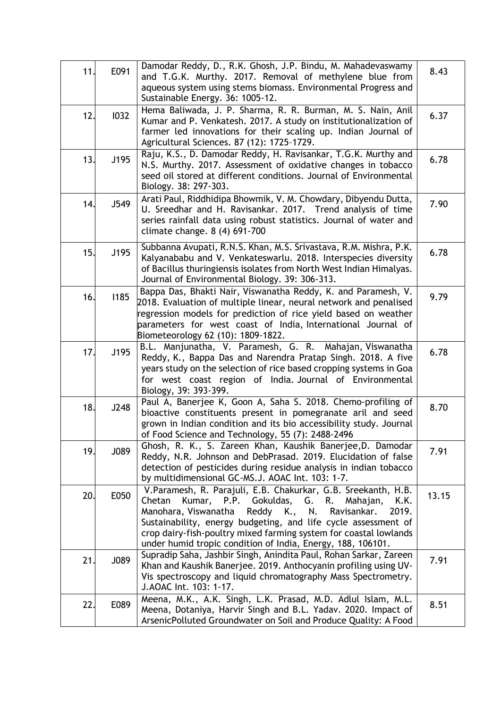| 11. | E091 | Damodar Reddy, D., R.K. Ghosh, J.P. Bindu, M. Mahadevaswamy<br>and T.G.K. Murthy. 2017. Removal of methylene blue from<br>aqueous system using stems biomass. Environmental Progress and<br>Sustainable Energy. 36: 1005-12.                                                                                                                                                                           | 8.43  |
|-----|------|--------------------------------------------------------------------------------------------------------------------------------------------------------------------------------------------------------------------------------------------------------------------------------------------------------------------------------------------------------------------------------------------------------|-------|
| 12. | 1032 | Hema Baliwada, J. P. Sharma, R. R. Burman, M. S. Nain, Anil<br>Kumar and P. Venkatesh. 2017. A study on institutionalization of<br>farmer led innovations for their scaling up. Indian Journal of<br>Agricultural Sciences. 87 (12): 1725-1729.                                                                                                                                                        | 6.37  |
| 13. | J195 | Raju, K.S., D. Damodar Reddy, H. Ravisankar, T.G.K. Murthy and<br>N.S. Murthy. 2017. Assessment of oxidative changes in tobacco<br>seed oil stored at different conditions. Journal of Environmental<br>Biology. 38: 297-303.                                                                                                                                                                          | 6.78  |
| 14. | J549 | Arati Paul, Riddhidipa Bhowmik, V. M. Chowdary, Dibyendu Dutta,<br>U. Sreedhar and H. Ravisankar. 2017. Trend analysis of time<br>series rainfall data using robust statistics. Journal of water and<br>climate change. 8 (4) 691-700                                                                                                                                                                  | 7.90  |
| 15. | J195 | Subbanna Avupati, R.N.S. Khan, M.S. Srivastava, R.M. Mishra, P.K.<br>Kalyanababu and V. Venkateswarlu. 2018. Interspecies diversity<br>of Bacillus thuringiensis isolates from North West Indian Himalyas.<br>Journal of Environmental Biology. 39: 306-313.                                                                                                                                           | 6.78  |
| 16. | 1185 | Bappa Das, Bhakti Nair, Viswanatha Reddy, K. and Paramesh, V.<br>2018. Evaluation of multiple linear, neural network and penalised<br>regression models for prediction of rice yield based on weather<br>parameters for west coast of India, International Journal of<br>Biometeorology 62 (10): 1809-1822.                                                                                            | 9.79  |
| 17. | J195 | B.L. Manjunatha, V. Paramesh, G. R. Mahajan, Viswanatha<br>Reddy, K., Bappa Das and Narendra Pratap Singh. 2018. A five<br>years study on the selection of rice based cropping systems in Goa<br>for west coast region of India. Journal of Environmental<br>Biology, 39: 393-399.                                                                                                                     | 6.78  |
| 18. | J248 | Paul A, Banerjee K, Goon A, Saha S. 2018. Chemo-profiling of<br>bioactive constituents present in pomegranate aril and seed<br>grown in Indian condition and its bio accessibility study. Journal<br>of Food Science and Technology, 55 (7): 2488-2496                                                                                                                                                 | 8.70  |
| 19. | J089 | Ghosh, R. K., S. Zareen Khan, Kaushik Banerjee, D. Damodar<br>Reddy, N.R. Johnson and DebPrasad. 2019. Elucidation of false<br>detection of pesticides during residue analysis in indian tobacco<br>by multidimensional GC-MS.J. AOAC Int. 103: 1-7.                                                                                                                                                   | 7.91  |
| 20. | E050 | V.Paramesh, R. Parajuli, E.B. Chakurkar, G.B. Sreekanth, H.B.<br>Kumar, P.P. Gokuldas,<br>G. R.<br>Chetan<br>Mahajan,<br>K.K.<br>Reddy K.,<br>N.<br>Manohara, Viswanatha<br>Ravisankar.<br>2019.<br>Sustainability, energy budgeting, and life cycle assessment of<br>crop dairy-fish-poultry mixed farming system for coastal lowlands<br>under humid tropic condition of India, Energy, 188, 106101. | 13.15 |
| 21. | J089 | Supradip Saha, Jashbir Singh, Anindita Paul, Rohan Sarkar, Zareen<br>Khan and Kaushik Banerjee. 2019. Anthocyanin profiling using UV-<br>Vis spectroscopy and liquid chromatography Mass Spectrometry.<br>J.AOAC Int. 103: 1-17.                                                                                                                                                                       | 7.91  |
| 22. | E089 | Meena, M.K., A.K. Singh, L.K. Prasad, M.D. Adlul Islam, M.L.<br>Meena, Dotaniya, Harvir Singh and B.L. Yadav. 2020. Impact of<br>ArsenicPolluted Groundwater on Soil and Produce Quality: A Food                                                                                                                                                                                                       | 8.51  |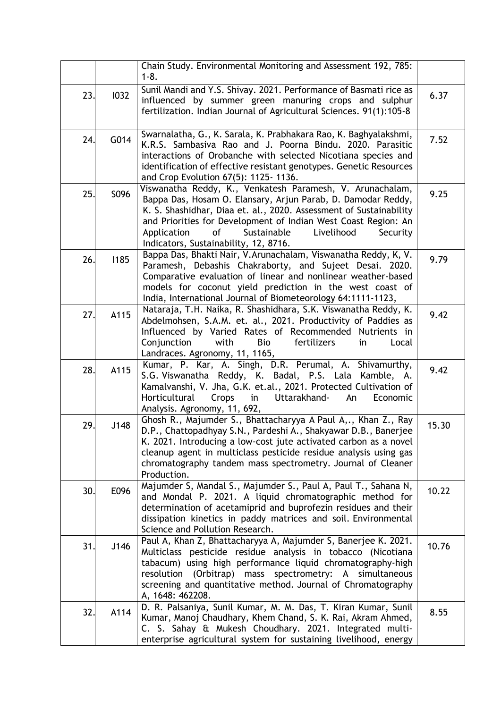|     |      | Chain Study. Environmental Monitoring and Assessment 192, 785:<br>$1 - 8.$                                                                                                                                                                                                                                                                                               |       |
|-----|------|--------------------------------------------------------------------------------------------------------------------------------------------------------------------------------------------------------------------------------------------------------------------------------------------------------------------------------------------------------------------------|-------|
| 23. | 1032 | Sunil Mandi and Y.S. Shivay. 2021. Performance of Basmati rice as<br>influenced by summer green manuring crops and sulphur<br>fertilization. Indian Journal of Agricultural Sciences. 91(1):105-8                                                                                                                                                                        | 6.37  |
| 24. | G014 | Swarnalatha, G., K. Sarala, K. Prabhakara Rao, K. Baghyalakshmi,<br>K.R.S. Sambasiva Rao and J. Poorna Bindu. 2020. Parasitic<br>interactions of Orobanche with selected Nicotiana species and<br>identification of effective resistant genotypes. Genetic Resources<br>and Crop Evolution 67(5): 1125-1136.                                                             | 7.52  |
| 25. | S096 | Viswanatha Reddy, K., Venkatesh Paramesh, V. Arunachalam,<br>Bappa Das, Hosam O. Elansary, Arjun Parab, D. Damodar Reddy,<br>K. S. Shashidhar, Diaa et. al., 2020. Assessment of Sustainability<br>and Priorities for Development of Indian West Coast Region: An<br>Sustainable<br>Livelihood<br>Security<br>Application<br>οf<br>Indicators, Sustainability, 12, 8716. | 9.25  |
| 26. | 1185 | Bappa Das, Bhakti Nair, V.Arunachalam, Viswanatha Reddy, K, V.<br>Paramesh, Debashis Chakraborty, and Sujeet Desai. 2020.<br>Comparative evaluation of linear and nonlinear weather-based<br>models for coconut yield prediction in the west coast of<br>India, International Journal of Biometeorology 64:1111-1123,                                                    | 9.79  |
| 27. | A115 | Nataraja, T.H. Naika, R. Shashidhara, S.K. Viswanatha Reddy, K.<br>Abdelmohsen, S.A.M. et. al., 2021. Productivity of Paddies as<br>Influenced by Varied Rates of Recommended Nutrients in<br>Conjunction<br>with<br>Bio<br>fertilizers<br>in<br>Local<br>Landraces. Agronomy, 11, 1165,                                                                                 | 9.42  |
| 28. | A115 | Kumar, P. Kar, A. Singh, D.R. Perumal, A. Shivamurthy,<br>S.G. Viswanatha Reddy, K. Badal, P.S. Lala Kamble, A.<br>Kamalvanshi, V. Jha, G.K. et.al., 2021. Protected Cultivation of<br>Horticultural<br>Crops<br>Uttarakhand-<br>An<br>Economic<br>in<br>Analysis. Agronomy, 11, 692,                                                                                    | 9.42  |
| 29. | J148 | Ghosh R., Majumder S., Bhattacharyya A Paul A,., Khan Z., Ray<br>D.P., Chattopadhyay S.N., Pardeshi A., Shakyawar D.B., Banerjee<br>K. 2021. Introducing a low-cost jute activated carbon as a novel<br>cleanup agent in multiclass pesticide residue analysis using gas<br>chromatography tandem mass spectrometry. Journal of Cleaner<br>Production.                   | 15.30 |
| 30. | E096 | Majumder S, Mandal S., Majumder S., Paul A, Paul T., Sahana N,<br>and Mondal P. 2021. A liquid chromatographic method for<br>determination of acetamiprid and buprofezin residues and their<br>dissipation kinetics in paddy matrices and soil. Environmental<br>Science and Pollution Research.                                                                         | 10.22 |
| 31. | J146 | Paul A, Khan Z, Bhattacharyya A, Majumder S, Banerjee K. 2021.<br>Multiclass pesticide residue analysis in tobacco (Nicotiana<br>tabacum) using high performance liquid chromatography-high<br>resolution (Orbitrap) mass spectrometry: A simultaneous<br>screening and quantitative method. Journal of Chromatography<br>A, 1648: 462208.                               | 10.76 |
| 32. | A114 | D. R. Palsaniya, Sunil Kumar, M. M. Das, T. Kiran Kumar, Sunil<br>Kumar, Manoj Chaudhary, Khem Chand, S. K. Rai, Akram Ahmed,<br>C. S. Sahay & Mukesh Choudhary. 2021. Integrated multi-<br>enterprise agricultural system for sustaining livelihood, energy                                                                                                             | 8.55  |